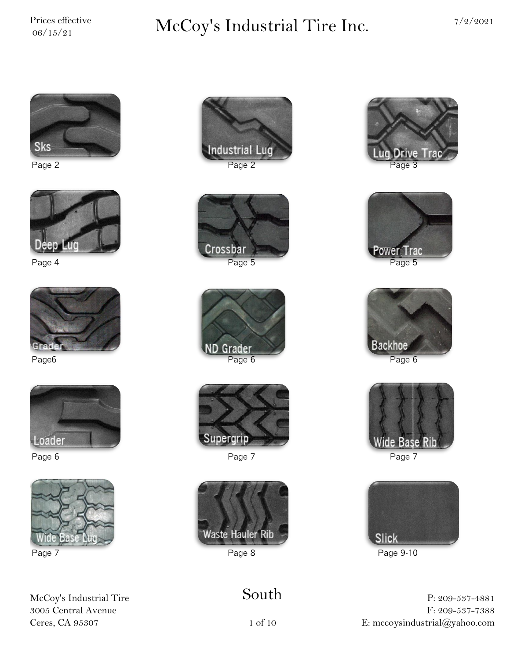# $\sum_{06/15/21}^{\text{Price} \; \text{effective}} \qquad \qquad \text{McCoy's Industrial Time Inc.} \qquad \qquad \frac{7}{2/2021}$











McCoy's Industrial Tire 3005 Central Avenue Ceres, CA 95307









Page 6 Page 7 Page 7



### South











Page 7 Page 8 Page 8 Page 9-10

P: 209-537-4881 F: 209-537-7388 E: mccoysindustrial@yahoo.com

1 of 10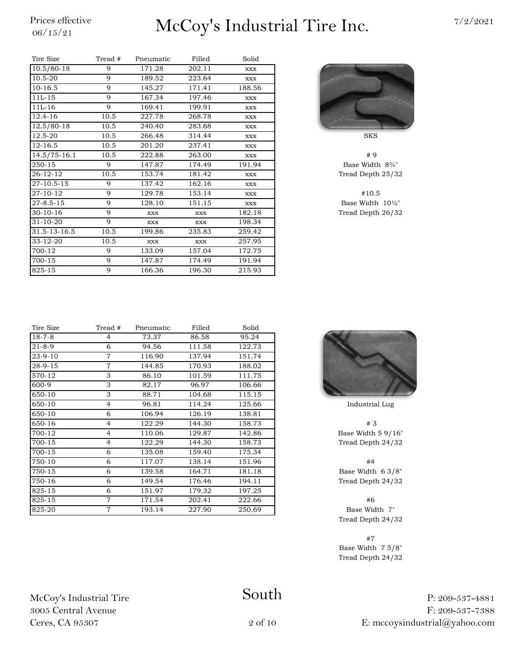# $\frac{\text{Price} \ \text{effective}}{06/15/21}$  McCoy's Industrial Tire Inc.  $\frac{7/2/2021}{2}$

| Tire Size        | Tread # | Pneumatic  | Filled     | Solid  |                    |
|------------------|---------|------------|------------|--------|--------------------|
| $10.5/80-18$     | 9       | 171.28     | 202.11     | XXX    |                    |
| 10.5-20          | 9       | 189.52     | 223.64     | XXX    |                    |
| $10-16.5$        | 9       | 145.27     | 171.41     | 188.56 |                    |
| $11L-15$         | 9       | 167.34     | 197.46     | XXX    |                    |
| $11L-16$         | 9       | 169.41     | 199.91     | XXX    |                    |
| 12.4-16          | 10.5    | 227.78     | 268.78     | XXX    |                    |
| 12.5/80-18       | 10.5    | 240.40     | 283.68     | XXX    |                    |
| 12.5-20          | 10.5    | 266.48     | 314.44     | XXX    | <b>SKS</b>         |
| $12 - 16.5$      | 10.5    | 201.20     | 237.41     | XXX    |                    |
| $14.5/75 - 16.1$ | 10.5    | 222.88     | 263.00     | XXX    |                    |
| 250-15           | 9       | 147.87     | 174.49     | 191.94 | Base Width         |
| 26-12-12         | 10.5    | 153.74     | 181.42     | XXX    | <b>Tread Depth</b> |
| 27-10.5-15       | 9       | 137.42     | 162.16     | XXX    |                    |
| 27-10-12         | 9       | 129.78     | 153.14     | XXX    | #10.5              |
| $27 - 8.5 - 15$  | 9       | 128.10     | 151.15     | XXX    | Base Width         |
| $30 - 10 - 16$   | 9       | <b>XXX</b> | <b>XXX</b> | 182.18 | Tread Depth        |
| $31 - 10 - 20$   | 9       | XXX        | XXX        | 198.34 |                    |
| 31.5-13-16.5     | 10.5    | 199.86     | 235.83     | 259.42 |                    |
| 33-12-20         | 10.5    | <b>XXX</b> | <b>XXX</b> | 257.95 |                    |
| 700-12           | 9       | 133.09     | 157.04     | 172.75 |                    |
| 700-15           | 9       | 147.87     | 174.49     | 191.94 |                    |
| 825-15           | 9       | 166.36     | 196.30     | 215.93 |                    |



Base Width 8¾" Tread Depth 25/32

Base Width  $10\frac{1}{2}$ " Tread Depth 26/32

| Tire Size     | Tread #        | Pneumatic | Filled | Solid  |             |
|---------------|----------------|-----------|--------|--------|-------------|
| $18 - 7 - 8$  | 4              | 73.37     | 86.58  | 95.24  |             |
| $21 - 8 - 9$  | 6              | 94.56     | 111.58 | 122.73 |             |
| $23 - 9 - 10$ | $\overline{7}$ | 116.90    | 137.94 | 151.74 |             |
| $28 - 9 - 15$ | $\overline{7}$ | 144.85    | 170.93 | 188.02 |             |
| 570-12        | 3              | 86.10     | 101.59 | 111.75 |             |
| 600-9         | 3              | 82.17     | 96.97  | 106.66 |             |
| 650-10        | 3              | 88.71     | 104.68 | 115.15 |             |
| 650-10        | $\overline{4}$ | 96.81     | 114.24 | 125.66 | Industria   |
| 650-10        | 6              | 106.94    | 126.19 | 138.81 |             |
| 650-16        | $\overline{4}$ | 122.29    | 144.30 | 158.73 | #3          |
| 700-12        | $\overline{4}$ | 110.06    | 129.87 | 142.86 | Base Width  |
| 700-15        | $\overline{4}$ | 122.29    | 144.30 | 158.73 | Tread Deptl |
| 700-15        | 6              | 135.08    | 159.40 | 175.34 |             |
| 750-10        | 6              | 117.07    | 138.14 | 151.96 | #4          |
| 750-15        | 6              | 139.58    | 164.71 | 181.18 | Base Width  |
| 750-16        | 6              | 149.54    | 176.46 | 194.11 | Tread Deptl |
| 825-15        | 6              | 151.97    | 179.32 | 197.25 |             |
| 825-15        | $\overline{7}$ | 171.54    | 202.41 | 222.66 | #6          |
| 825-20        | $\tau$         | 193.14    | 227.90 | 250.69 | Base Wid    |
|               |                |           |        |        |             |





Industrial Lug

Base Width  $5$   $9/16$ " Tread Depth 24/32

Base Width 6 3/8" Tread Depth 24/32

Base Width 7" Tread Depth 24/32

#7 Base Width 7 5/8" Tread Depth 24/32

> P: 209-537-4881 F: 209-537-7388 E: mccoysindustrial@yahoo.com

#### South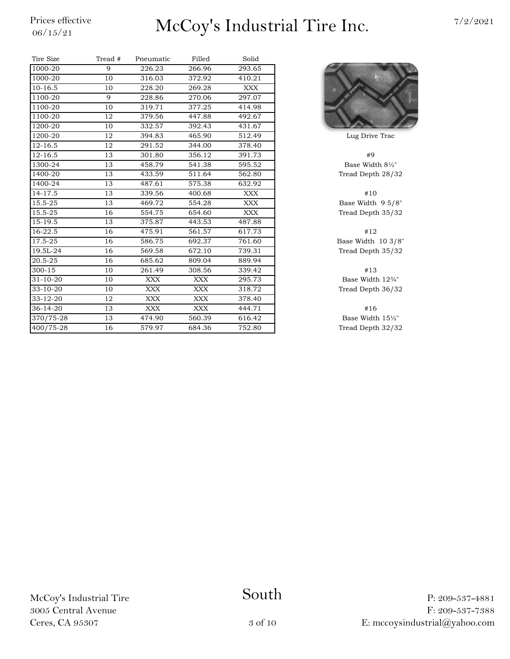# $\frac{\text{Price} \ \text{effective}}{06/15/21}$  McCoy's Industrial Tire Inc.  $\frac{7/2/2021}{2}$

| Tire Size      | Tread # | Pneumatic  | Filled     | Solid      |                    |
|----------------|---------|------------|------------|------------|--------------------|
| 1000-20        | 9       | 226.23     | 266.96     | 293.65     |                    |
| 1000-20        | 10      | 316.03     | 372.92     | 410.21     |                    |
| $10-16.5$      | 10      | 228.20     | 269.28     | XXX        |                    |
| 1100-20        | 9       | 228.86     | 270.06     | 297.07     |                    |
| 1100-20        | 10      | 319.71     | 377.25     | 414.98     |                    |
| 1100-20        | 12      | 379.56     | 447.88     | 492.67     |                    |
| 1200-20        | 10      | 332.57     | 392.43     | 431.67     |                    |
| 1200-20        | 12      | 394.83     | 465.90     | 512.49     | Lug Drive          |
| $12 - 16.5$    | 12      | 291.52     | 344.00     | 378.40     |                    |
| $12 - 16.5$    | 13      | 301.80     | 356.12     | 391.73     | #9                 |
| 1300-24        | 13      | 458.79     | 541.38     | 595.52     | Base Widt          |
| 1400-20        | 13      | 433.59     | 511.64     | 562.80     | <b>Tread Deptl</b> |
| 1400-24        | 13      | 487.61     | 575.38     | 632.92     |                    |
| 14-17.5        | 13      | 339.56     | 400.68     | XXX        | #10                |
| 15.5-25        | 13      | 469.72     | 554.28     | <b>XXX</b> | Base Width         |
| 15.5-25        | 16      | 554.75     | 654.60     | <b>XXX</b> | <b>Tread Deptl</b> |
| 15-19.5        | 13      | 375.87     | 443.53     | 487.88     |                    |
| 16-22.5        | 16      | 475.91     | 561.57     | 617.73     | #12                |
| 17.5-25        | 16      | 586.75     | 692.37     | 761.60     | Base Width         |
| 19.5L-24       | 16      | 569.58     | 672.10     | 739.31     | <b>Tread Deptl</b> |
| 20.5-25        | 16      | 685.62     | 809.04     | 889.94     |                    |
| $300 - 15$     | 10      | 261.49     | 308.56     | 339.42     | #13                |
| $31 - 10 - 20$ | 10      | <b>XXX</b> | <b>XXX</b> | 295.73     | Base Widtl         |
| $33 - 10 - 20$ | 10      | XXX        | XXX        | 318.72     | Tread Deptl        |
| $33 - 12 - 20$ | 12      | <b>XXX</b> | <b>XXX</b> | 378.40     |                    |
| $36 - 14 - 20$ | 13      | XXX        | XXX        | 444.71     | #16                |
| 370/75-28      | 13      | 474.90     | 560.39     | 616.42     | Base Widtl         |
| 400/75-28      | 16      | 579.97     | 684.36     | 752.80     | <b>Tread Deptl</b> |



Lug Drive Trac

Base Width  $8\frac{1}{2}$ " Tread Depth 28/32

Base Width 9 5/8" Tread Depth 35/32

Base Width 10 3/8" Tread Depth 35/32

Base Width  $12\frac{3}{4}$ " Tread Depth 36/32

Base Width  $15\frac{1}{2}$ " Tread Depth 32/32

McCoy's Industrial Tire 3005 Central Avenue Ceres, CA 95307

South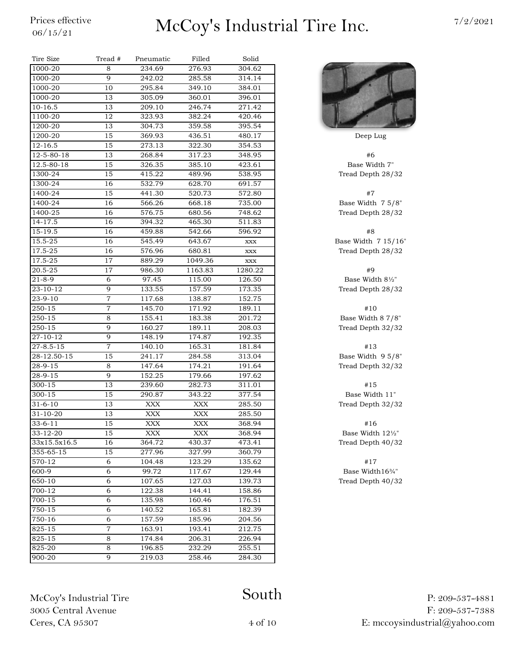### $\frac{\text{Prices effective}}{06/15/21}$  McCoy's Industrial Tire Inc.  $\frac{7/2/2021}{2}$

| Tire Size           | Tread #        | Pneumatic | Filled  | Solid        |                |
|---------------------|----------------|-----------|---------|--------------|----------------|
| 1000-20             | 8              | 234.69    | 276.93  | 304.62       |                |
| 1000-20             | 9              | 242.02    | 285.58  | 314.14       |                |
| $1000 - 20$         | 10             | 295.84    | 349.10  | 384.01       |                |
| $1000 - 20$         | 13             | 305.09    | 360.01  | 396.01       |                |
| $10-16.5$           | 13             | 209.10    | 246.74  | 271.42       |                |
| 1100-20             | 12             | 323.93    | 382.24  | 420.46       |                |
| 1200-20             | 13             | 304.73    | 359.58  | 395.54       |                |
| 1200-20             | 15             | 369.93    | 436.51  | 480.17       | Deep Lug       |
| $12 - 16.5$         | 15             | 273.13    | 322.30  | 354.53       |                |
| 12-5-80-18          | 13             | 268.84    | 317.23  | 348.95       | #6             |
| 12.5-80-18          | 15             | 326.35    | 385.10  | 423.61       | Base Width     |
| 1300-24             | 15             | 415.22    | 489.96  | 538.95       | Tread Depth 2  |
| 1300-24             | 16             | 532.79    | 628.70  | 691.57       |                |
| 1400-24             | 15             | 441.30    | 520.73  | 572.80       | #7             |
| 1400-24             | 16             | 566.26    | 668.18  | 735.00       | Base Width 7   |
| 1400-25             | 16             | 576.75    | 680.56  | 748.62       | Tread Depth 2  |
| 14-17.5             | 16             | 394.32    | 465.30  | 511.83       |                |
| $15-19.5$           | 16             | 459.88    | 542.66  | 596.92       | #8             |
| 15.5-25             | 16             | 545.49    | 643.67  | <b>XXX</b>   | Base Width 7 1 |
| 17.5-25             | 16             | 576.96    | 680.81  | <b>XXX</b>   | Tread Depth 2  |
| 17.5-25             | 17             | 889.29    | 1049.36 | $\bold{XXX}$ |                |
| 20.5-25             | 17             | 986.30    | 1163.83 | 1280.22      | #9             |
| $21 - 8 - 9$        | 6              | 97.45     | 115.00  | 126.50       | Base Width &   |
| $23 - 10 - 12$      | 9              | 133.55    | 157.59  | 173.35       | Tread Depth 2  |
| $23 - 9 - 10$       | $\overline{7}$ | 117.68    | 138.87  | 152.75       |                |
| 250-15              | $\overline{7}$ | 145.70    | 171.92  | 189.11       | #10            |
| 250-15              | 8              | 155.41    | 183.38  | 201.72       | Base Width 8   |
| $250 - 15$          | 9              | 160.27    | 189.11  | 208.03       | Tread Depth 3  |
| $27 - 10 - 12$      | 9              | 148.19    | 174.87  | 192.35       |                |
| $27 - 8.5 - 15$     | $\overline{7}$ | 140.10    | 165.31  | 181.84       | #13            |
| $28-12.50-15$       | 15             | 241.17    | 284.58  | 313.04       | Base Width 9   |
| $28 - 9 - 15$       | 8              | 147.64    | 174.21  | 191.64       | Tread Depth 3  |
| 28-9-15             | 9              | 152.25    | 179.66  | 197.62       |                |
| 300-15              | 13             | 239.60    | 282.73  | 311.01       | #15            |
| 300-15              | 15             | 290.87    | 343.22  | 377.54       | Base Width     |
| $31 - 6 - 10$       | 13             | XXX       | XXX     | 285.50       | Tread Depth 3  |
| $31 - 10 - 20$      | 13             | XXX       | XXX     | 285.50       |                |
| $33-6-11$           | 15             | XXX       | XXX     | 368.94       | #16            |
| 33-12-20            | 15             | XXX       | XXX     | 368.94       | Base Width 1   |
| 33x15.5x16.5        | 16             | 364.72    | 430.37  | 473.41       | Tread Depth 4  |
| $355 - 65 - 15$     | 15             | 277.96    | 327.99  | 360.79       |                |
| $\overline{570-12}$ | 6              | 104.48    | 123.29  | 135.62       | #17            |
| $600-9$             | 6              | 99.72     | 117.67  | 129.44       | Base Width1    |
| 650-10              | 6              | 107.65    | 127.03  | 139.73       | Tread Depth 4  |
| $\frac{1}{700-12}$  | 6              | 122.38    | 144.41  | 158.86       |                |
| 700-15              | 6              | 135.98    | 160.46  | 176.51       |                |
| 750-15              | 6              | 140.52    | 165.81  | 182.39       |                |
| 750-16              | 6              | 157.59    | 185.96  | 204.56       |                |
| 825-15              | $\overline{7}$ | 163.91    | 193.41  | 212.75       |                |
| 825-15              | 8              | 174.84    | 206.31  | 226.94       |                |
| 825-20              | 8              | 196.85    | 232.29  | 255.51       |                |
| 900-20              | 9              | 219.03    | 258.46  | 284.30       |                |
|                     |                |           |         |              |                |



Base Width 7" Tread Depth 28/32

Base Width 7 5/8" Tread Depth 28/32

Base Width 7 15/16" Tread Depth 28/32

Base Width  $8\frac{1}{2}$ " Tread Depth 28/32

Base Width 8 7/8" Tread Depth 32/32

Base Width 9 5/8" Tread Depth 32/32

Base Width 11" Tread Depth 32/32

Base Width 12½" Tread Depth 40/32

Base Width16¾" Tread Depth 40/32

McCoy's Industrial Tire 3005 Central Avenue Ceres, CA 95307

#### South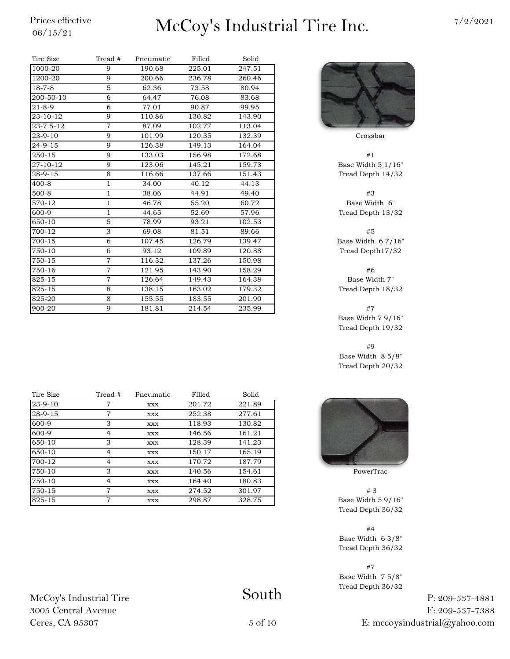### $\frac{\text{Prices effective}}{06/15/21}$  McCoy's Industrial Tire Inc.  $\frac{7/2/2021}{2}$

| Tire Size       | Tread #        | Pneumatic | Filled | Solid  |                   |
|-----------------|----------------|-----------|--------|--------|-------------------|
| 1000-20         | 9              | 190.68    | 225.01 | 247.51 |                   |
| 1200-20         | 9              | 200.66    | 236.78 | 260.46 |                   |
| $18 - 7 - 8$    | 5              | 62.36     | 73.58  | 80.94  |                   |
| 200-50-10       | 6              | 64.47     | 76.08  | 83.68  |                   |
| $21 - 8 - 9$    | 6              | 77.01     | 90.87  | 99.95  |                   |
| 23-10-12        | 9              | 110.86    | 130.82 | 143.90 |                   |
| $23 - 7.5 - 12$ | $\overline{7}$ | 87.09     | 102.77 | 113.04 |                   |
| $23 - 9 - 10$   | 9              | 101.99    | 120.35 | 132.39 | Crossbar          |
| $24 - 9 - 15$   | 9              | 126.38    | 149.13 | 164.04 |                   |
| 250-15          | 9              | 133.03    | 156.98 | 172.68 | #1                |
| $27 - 10 - 12$  | 9              | 123.06    | 145.21 | 159.73 | Base Width 5      |
| $28 - 9 - 15$   | 8              | 116.66    | 137.66 | 151.43 | Tread Depth 1     |
| $400 - 8$       | $\mathbf{1}$   | 34.00     | 40.12  | 44.13  |                   |
| $500 - 8$       | $\mathbf{1}$   | 38.06     | 44.91  | 49.40  | #3                |
| 570-12          | $\mathbf{1}$   | 46.78     | 55.20  | 60.72  | Base Width        |
| 600-9           | $\mathbf{1}$   | 44.65     | 52.69  | 57.96  | Tread Depth 1     |
| 650-10          | 5              | 78.99     | 93.21  | 102.53 |                   |
| 700-12          | 3              | 69.08     | 81.51  | 89.66  | #5                |
| 700-15          | 6              | 107.45    | 126.79 | 139.47 | Base Width 6      |
| 750-10          | 6              | 93.12     | 109.89 | 120.88 | Tread Depth1      |
| 750-15          | $\overline{7}$ | 116.32    | 137.26 | 150.98 |                   |
| 750-16          | $\overline{7}$ | 121.95    | 143.90 | 158.29 | #6                |
| 825-15          | $\overline{7}$ | 126.64    | 149.43 | 164.38 | <b>Base Width</b> |
| 825-15          | 8              | 138.15    | 163.02 | 179.32 | Tread Depth 1     |
| 825-20          | 8              | 155.55    | 183.55 | 201.90 |                   |
| 900-20          | 9              | 181.81    | 214.54 | 235.99 | #7                |

| Tire Size | Tread # | Pneumatic  | Filled | Solid  |                |
|-----------|---------|------------|--------|--------|----------------|
| $23-9-10$ | 7       | <b>XXX</b> | 201.72 | 221.89 |                |
| 28-9-15   | 7       | XXX        | 252.38 | 277.61 |                |
| 600-9     | 3       | XXX        | 118.93 | 130.82 |                |
| 600-9     | 4       | XXX        | 146.56 | 161.21 |                |
| 650-10    | 3       | XXX        | 128.39 | 141.23 |                |
| 650-10    | 4       | XXX        | 150.17 | 165.19 |                |
| 700-12    | 4       | <b>XXX</b> | 170.72 | 187.79 |                |
| 750-10    | 3       | XXX        | 140.56 | 154.61 | PowerTrac      |
| 750-10    | 4       | XXX        | 164.40 | 180.83 |                |
| 750-15    | 7       | XXX        | 274.52 | 301.97 | #3             |
| 825-15    | 7       | XXX        | 298.87 | 328.75 | Base Width 5 9 |

McCoy's Industrial Tire 3005 Central Avenue Ceres, CA 95307

Base Width  $5 \frac{1}{16}$ " Tread Depth 14/32

Base Width 6" Tread Depth 13/32

Base Width  $67/16$ " Tread Depth17/32

Base Width 7" Tread Depth 18/32

Base Width 7 9/16" Tread Depth 19/32

#9 Base Width 8 5/8" Tread Depth 20/32



Base Width  $59/16"$ Tread Depth 36/32

#4 Base Width 6 3/8" Tread Depth 36/32

#7

Base Width 7 5/8" Tread Depth 36/32

> P: 209-537-4881 F: 209-537-7388 E: mccoysindustrial@yahoo.com

South

5 of 10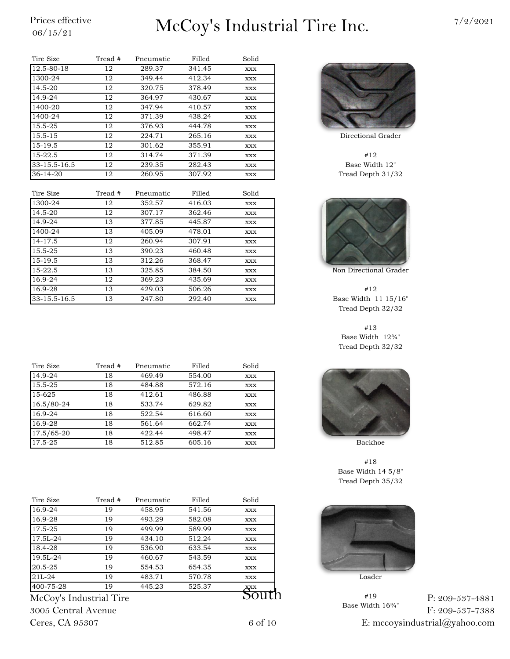# $\frac{\text{Price} \ \text{effective}}{06/15/21}$  McCoy's Industrial Tire Inc.  $\frac{7/2/2021}{2}$

| Tire Size      | Tread # | Pneumatic | Filled | Solid |             |
|----------------|---------|-----------|--------|-------|-------------|
| 12.5-80-18     | 12      | 289.37    | 341.45 | XXX   |             |
| 1300-24        | 12      | 349.44    | 412.34 | XXX   |             |
| 14.5-20        | 12      | 320.75    | 378.49 | XXX   |             |
| 14.9-24        | 12      | 364.97    | 430.67 | XXX   |             |
| 1400-20        | 12      | 347.94    | 410.57 | XXX   |             |
| 1400-24        | 12      | 371.39    | 438.24 | XXX   |             |
| 15.5-25        | 12      | 376.93    | 444.78 | XXX   |             |
| $15.5 - 15$    | 12      | 224.71    | 265.16 | XXX   | Directional |
| 15-19.5        | 12      | 301.62    | 355.91 | XXX   |             |
| $15-22.5$      | 12      | 314.74    | 371.39 | XXX   | #12         |
| 33-15.5-16.5   | 12      | 239.35    | 282.43 | XXX   | Base Wid    |
| $36 - 14 - 20$ | 12      | 260.95    | 307.92 | XXX   | Tread Deptl |

| Tire Size    | Tread # | Pneumatic | Filled | Solid |               |
|--------------|---------|-----------|--------|-------|---------------|
| 1300-24      | 12      | 352.57    | 416.03 | XXX   |               |
| 14.5-20      | 12      | 307.17    | 362.46 | XXX   |               |
| 14.9-24      | 13      | 377.85    | 445.87 | XXX   |               |
| 1400-24      | 13      | 405.09    | 478.01 | XXX   |               |
| 14-17.5      | 12      | 260.94    | 307.91 | XXX   |               |
| 15.5-25      | 13      | 390.23    | 460.48 | XXX   |               |
| 15-19.5      | 13      | 312.26    | 368.47 | XXX   |               |
| $15 - 22.5$  | 13      | 325.85    | 384.50 | XXX   | Non Direction |
| 16.9-24      | 12      | 369.23    | 435.69 | XXX   |               |
| 16.9-28      | 13      | 429.03    | 506.26 | XXX   | #12           |
| 33-15.5-16.5 | 13      | 247.80    | 292.40 | XXX   | Base Width    |

| Tire Size      | Tread # | Pneumatic | Filled | Solid      |         |
|----------------|---------|-----------|--------|------------|---------|
| $14.9 - 24$    | 18      | 469.49    | 554.00 | <b>XXX</b> |         |
| 15.5-25        | 18      | 484.88    | 572.16 | <b>XXX</b> |         |
| 15-625         | 18      | 412.61    | 486.88 | <b>XXX</b> |         |
| 16.5/80-24     | 18      | 533.74    | 629.82 | <b>XXX</b> |         |
| $16.9 - 24$    | 18      | 522.54    | 616.60 | <b>XXX</b> |         |
| 16.9-28        | 18      | 561.64    | 662.74 | <b>XXX</b> |         |
| $17.5/65 - 20$ | 18      | 422.44    | 498.47 | <b>XXX</b> |         |
| 17.5-25        | 18      | 512.85    | 605.16 | <b>XXX</b> | Backhoe |

| Tire Size               | Tread # | Pneumatic | Filled | Solid      |        |
|-------------------------|---------|-----------|--------|------------|--------|
| 16.9-24                 | 19      | 458.95    | 541.56 | XXX        |        |
| 16.9-28                 | 19      | 493.29    | 582.08 | <b>XXX</b> |        |
| 17.5-25                 | 19      | 499.99    | 589.99 | XXX        |        |
| 17.5L-24                | 19      | 434.10    | 512.24 | <b>XXX</b> |        |
| 18.4-28                 | 19      | 536.90    | 633.54 | XXX        |        |
| 19.5L-24                | 19      | 460.67    | 543.59 | <b>XXX</b> |        |
| 20.5-25                 | 19      | 554.53    | 654.35 | XXX        |        |
| $21L-24$                | 19      | 483.71    | 570.78 | XXX        | Loader |
| 400-75-28               | 19      | 445.23    | 525.37 | XXX        |        |
| McCov's Industrial Tire |         |           |        |            | #19    |

McCoy's Industrial Tire 3005 Central Avenue Ceres, CA 95307



Directional Grader

Base Width 12" Tread Depth 31/32



Non Directional Grader

Base Width 11 15/16" Tread Depth 32/32

#13 Base Width 12¾" Tread Depth 32/32



#18 Base Width 14 5/8" Tread Depth 35/32



#19 Base Width 16¾" P: 209-537-4881 F: 209-537-7388 E: mccoysindustrial@yahoo.com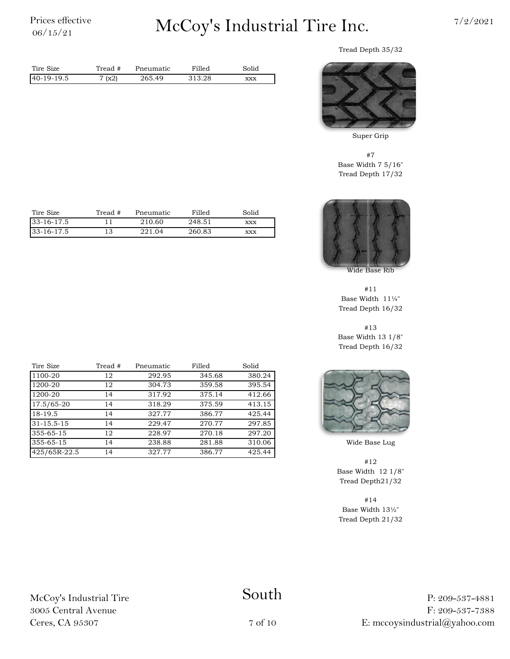# $\frac{\text{Prices effective}}{06/15/21}$  McCoy's Industrial Tire Inc.  $\frac{7/2/2021}{2}$

Tread Depth 35/32



Super Grip

#7 Base Width 7 5/16" Tread Depth 17/32



Wide Base Rib

#11 Base Width 11¼" Tread Depth 16/32

#13 Base Width 13 1/8" Tread Depth 16/32



Wide Base Lug

#12 Base Width 12 1/8" Tread Depth21/32

#14 Base Width 13½" Tread Depth 21/32

| Tire Size  | Tread # | Pneumatic | Filled | Solid      |
|------------|---------|-----------|--------|------------|
| 33-16-17.5 |         | 210.60    | 248.51 | <b>XXX</b> |
| 33-16-17.5 |         | 221.04    | 260.83 | <b>XXX</b> |
|            |         |           |        |            |

Tire Size Tread # Pneumatic Filled Solid 40-19-19.5 265.49 313.28 xxx

7 (x2)

Tread #

| Tire Size        | Tread # | Pneumatic | Filled | Solid  |
|------------------|---------|-----------|--------|--------|
| 1100-20          | 12      | 292.95    | 345.68 | 380.24 |
| 1200-20          | 12      | 304.73    | 359.58 | 395.54 |
| 1200-20          | 14      | 317.92    | 375.14 | 412.66 |
| 17.5/65-20       | 14      | 318.29    | 375.59 | 413.15 |
| 18-19.5          | 14      | 327.77    | 386.77 | 425.44 |
| $31 - 15.5 - 15$ | 14      | 229.47    | 270.77 | 297.85 |
| 355-65-15        | 12      | 228.97    | 270.18 | 297.20 |
| 355-65-15        | 14      | 238.88    | 281.88 | 310.06 |
| 425/65R-22.5     | 14      | 327.77    | 386.77 | 425.44 |

McCoy's Industrial Tire 3005 Central Avenue Ceres, CA 95307

#### South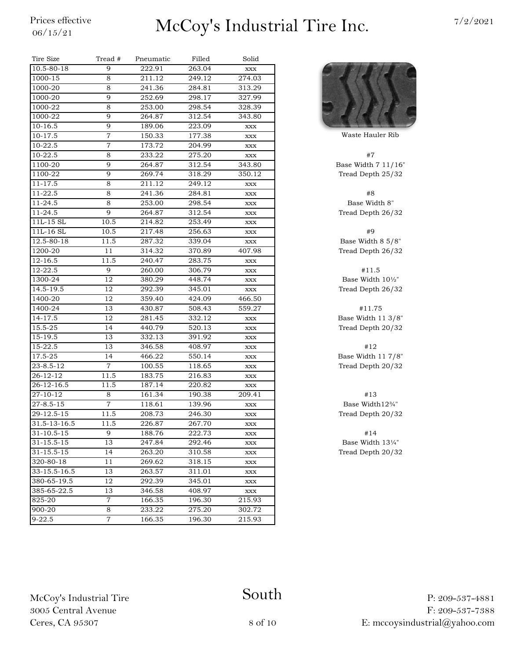### $\frac{\text{Prices effective}}{06/15/21}$  McCoy's Industrial Tire Inc.  $\frac{7/2/2021}{2}$

| Tire Size        | Tread #        | Pneumatic | Filled | Solid          |              |
|------------------|----------------|-----------|--------|----------------|--------------|
| 10.5-80-18       | 9              | 222.91    | 263.04 | $\mathbf{XXX}$ |              |
| 1000-15          | 8              | 211.12    | 249.12 | 274.03         |              |
| 1000-20          | 8              | 241.36    | 284.81 | 313.29         |              |
| 1000-20          | 9              | 252.69    | 298.17 | 327.99         |              |
| 1000-22          | 8              | 253.00    | 298.54 | 328.39         |              |
| 1000-22          | 9              | 264.87    | 312.54 | 343.80         |              |
| 10-16.5          | 9              | 189.06    | 223.09 | XXX            |              |
| $10 - 17.5$      | $\overline{7}$ | 150.33    | 177.38 | XXX            | Waste Haule  |
| 10-22.5          | 7              | 173.72    | 204.99 | $\mathbf{XXX}$ |              |
| 10-22.5          | 8              | 233.22    | 275.20 | XXX            | #7           |
| 1100-20          | 9              | 264.87    | 312.54 | 343.80         | Base Width 7 |
| 1100-22          | 9              | 269.74    | 318.29 | 350.12         | Tread Depth  |
| 11-17.5          | 8              | 211.12    | 249.12 | XXX            |              |
| 11-22.5          | 8              | 241.36    | 284.81 | XXX            | #8           |
| 11-24.5          | 8              | 253.00    | 298.54 | $\mathbf{XXX}$ | Base Widtl   |
| 11-24.5          | 9              | 264.87    | 312.54 | XXX            | Tread Depth  |
| 11L-15 SL        | 10.5           | 214.82    | 253.49 | XXX            |              |
| 11L-16 SL        | 10.5           | 217.48    | 256.63 | XXX            | #9           |
| 12.5-80-18       | 11.5           | 287.32    | 339.04 | XXX            | Base Width & |
| 1200-20          | 11             | 314.32    | 370.89 | 407.98         | Tread Depth  |
| 12-16.5          | 11.5           | 240.47    | 283.75 | XXX            |              |
| 12-22.5          | 9              | 260.00    | 306.79 | XXX            | #11.5        |
| 1300-24          | 12             | 380.29    | 448.74 | XXX            | Base Width   |
| 14.5-19.5        | 12             | 292.39    | 345.01 | XXX            | Tread Depth  |
| 1400-20          | 12             | 359.40    | 424.09 | 466.50         |              |
| 1400-24          | 13             | 430.87    | 508.43 | 559.27         | #11.75       |
| 14-17.5          | 12             | 281.45    | 332.12 | XXX            | Base Width 1 |
| 15.5-25          | 14             | 440.79    | 520.13 | XXX            | Tread Depth  |
| 15-19.5          | 13             | 332.13    | 391.92 | XXX            |              |
| 15-22.5          | 13             | 346.58    | 408.97 | XXX            | #12          |
| 17.5-25          | 14             | 466.22    | 550.14 | XXX            | Base Width 1 |
| 23-8.5-12        | 7              | 100.55    | 118.65 | XXX            | Tread Depth  |
| $26 - 12 - 12$   | 11.5           | 183.75    | 216.83 | XXX            |              |
| 26-12-16.5       | 11.5           | 187.14    | 220.82 | XXX            |              |
| 27-10-12         | 8              | 161.34    | 190.38 | 209.41         | #13          |
| $27 - 8.5 - 15$  | $\overline{7}$ | 118.61    | 139.96 | XXX            | Base Width   |
| 29-12.5-15       | 11.5           | 208.73    | 246.30 | XXX            | Tread Depth  |
| 31.5-13-16.5     | 11.5           | 226.87    | 267.70 | <b>XXX</b>     |              |
| $31 - 10.5 - 15$ | 9              | 188.76    | 222.73 | XXX            | #14          |
| $31 - 15.5 - 15$ | 13             | 247.84    | 292.46 | XXX            | Base Width   |
| 31-15.5-15       | 14             | 263.20    | 310.58 | XXX            | Tread Depth  |
| 320-80-18        | 11             | 269.62    | 318.15 | XXX            |              |
| 33-15.5-16.5     | 13             | 263.57    | 311.01 | XXX            |              |
| 380-65-19.5      | 12             | 292.39    | 345.01 | XXX            |              |
| 385-65-22.5      | 13             | 346.58    | 408.97 | XXX            |              |
| 825-20           | $\overline{7}$ | 166.35    | 196.30 | 215.93         |              |
| 900-20           | 8              | 233.22    | 275.20 | 302.72         |              |
| $9 - 22.5$       | 7              | 166.35    | 196.30 | 215.93         |              |
|                  |                |           |        |                |              |



Waste Hauler Rib

Base Width 7 11/16" Tread Depth 25/32

Base Width 8" Tread Depth 26/32

Base Width 8 5/8". Tread Depth 26/32

Base Width  $10\frac{1}{2}$ " Tread Depth 26/32

Base Width  $11\frac{3}{8}$ " Tread Depth 20/32

Base Width  $11\ 7/8$ " Tread Depth 20/32

Base Width $12\%$ " Tread Depth 20/32

Base Width 13¼" Tread Depth 20/32

McCoy's Industrial Tire 3005 Central Avenue Ceres, CA 95307

#### South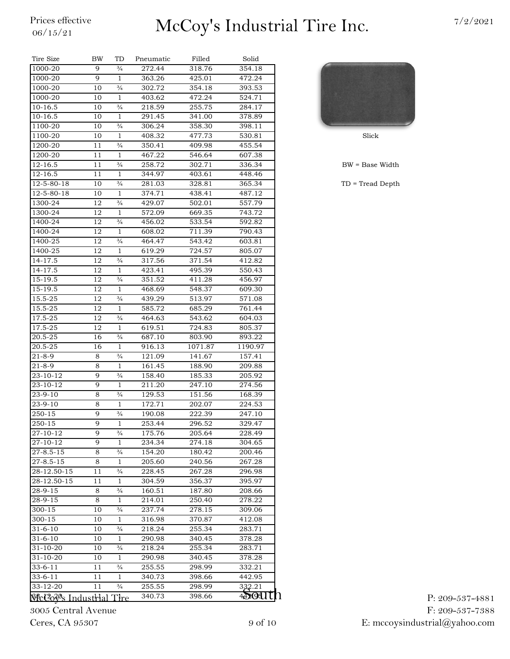# $\frac{\text{Price} \ \text{effective}}{06/15/21}$  McCoy's Industrial Tire Inc.  $\frac{7/2/2021}{2}$

| $\frac{3}{4}$<br>1000-20<br>9<br>272.44<br>318.76<br>354.18<br>9<br>1000-20<br>$\mathbf{1}$<br>425.01<br>472.24<br>363.26<br>$\frac{3}{4}$<br>1000-20<br>10<br>302.72<br>354.18<br>393.53<br>$\mathbf{1}$<br>472.24<br>1000-20<br>10<br>403.62<br>524.71<br>10-16.5<br>10<br>$\frac{3}{4}$<br>218.59<br>255.75<br>284.17<br>10-16.5<br>10<br>$\mathbf{1}$<br>291.45<br>341.00<br>378.89<br>1100-20<br>10<br>$\frac{3}{4}$<br>306.24<br>358.30<br>398.11<br>1100-20<br>477.73<br>10<br>1<br>408.32<br>530.81<br>Slick<br>1200-20<br>11<br>$\frac{3}{4}$<br>350.41<br>409.98<br>455.54<br>1200-20<br>467.22<br>11<br>$\mathbf{1}$<br>546.64<br>607.38<br>12-16.5<br>$\frac{3}{4}$<br>258.72<br>302.71<br>336.34<br>$BW = Base$<br>11<br>12-16.5<br>11<br>344.97<br>403.61<br>448.46<br>1<br>$\frac{3}{4}$<br>12-5-80-18<br>10<br>TD = Tread<br>281.03<br>328.81<br>365.34<br>12-5-80-18<br>10<br>1<br>374.71<br>438.41<br>487.12<br>$\frac{3}{4}$<br>1300-24<br>12<br>429.07<br>502.01<br>557.79<br>$\mathbf{1}$<br>12<br>1300-24<br>572.09<br>669.35<br>743.72<br>12<br>$\frac{3}{4}$<br>533.54<br>592.82<br>1400-24<br>456.02<br>1400-24<br>12<br>$\mathbf{1}$<br>608.02<br>711.39<br>790.43<br>12<br>$\frac{3}{4}$<br>543.42<br>1400-25<br>464.47<br>603.81<br>12<br>$\mathbf{1}$<br>619.29<br>724.57<br>1400-25<br>805.07<br>14-17.5<br>12<br>$\frac{3}{4}$<br>317.56<br>371.54<br>412.82<br>$\mathbf{1}$<br>14-17.5<br>12<br>423.41<br>495.39<br>550.43<br>12<br>$\frac{3}{4}$<br>351.52<br>15-19.5<br>411.28<br>456.97<br>12<br>1<br>468.69<br>548.37<br>609.30<br>$\frac{3}{4}$<br>12<br>439.29<br>513.97<br>571.08<br>12<br>1<br>585.72<br>685.29<br>15.5-25<br>761.44<br>$\frac{3}{4}$<br>17.5-25<br>12<br>464.63<br>543.62<br>604.03<br>12<br>$\mathbf{1}$<br>724.83<br>17.5-25<br>619.51<br>805.37<br>$\frac{3}{4}$<br>20.5-25<br>16<br>687.10<br>803.90<br>893.22<br>20.5-25<br>16<br>1<br>916.13<br>1071.87<br>1190.97<br>8<br>$\frac{3}{4}$<br>121.09<br>141.67<br>157.41<br>8<br>$\mathbf{1}$<br>161.45<br>188.90<br>209.88<br>9<br>$\frac{3}{4}$<br>158.40<br>185.33<br>205.92<br>9<br>$\mathbf{1}$<br>211.20<br>247.10<br>274.56<br>$\frac{3}{4}$<br>8<br>129.53<br>151.56<br>168.39<br>172.71<br>8<br>1<br>202.07<br>224.53<br>9<br>$\frac{3}{4}$<br>222.39<br>247.10<br>190.08<br>9<br>1<br>253.44<br>296.52<br>329.47<br>9<br>$\frac{3}{4}$<br>175.76<br>205.64<br>228.49<br>9<br>274.18<br>234.34<br>304.65<br>1<br>$^{3}/_{4}$<br>8<br>154.20<br>200.46<br>180.42<br>8<br>$\mathbf{1}$<br>205.60<br>240.56<br>267.28<br>228.45<br>11<br>$\frac{3}{4}$<br>267.28<br>296.98<br>$\mathbf{1}$<br>304.59<br>356.37<br>395.97<br>11<br>8<br>$\frac{3}{4}$<br>160.51<br>187.80<br>208.66<br>28-9-15<br>214.01<br>250.40<br>278.22<br>8<br>1<br>300-15<br>$\frac{3}{4}$<br>237.74<br>278.15<br>309.06<br>10<br>300-15<br>316.98<br>370.87<br>412.08<br>10<br>$\mathbf{1}$<br>218.24<br>255.34<br>283.71<br>10<br>$\frac{3}{4}$<br>31-6-10<br>10<br>290.98<br>340.45<br>378.28<br>1<br>31-10-20<br>$\frac{3}{4}$<br>255.34<br>10<br>218.24<br>283.71<br>31-10-20<br>378.28<br>10<br>1<br>290.98<br>340.45<br>$33 - 6 - 11$<br>$\frac{3}{4}$<br>255.55<br>298.99<br>332.21<br>11<br>$33 - 6 - 11$<br>11<br>340.73<br>398.66<br>442.95<br>1<br>33-12-20<br>$\frac{3}{4}$<br>255.55<br>298.99<br>332.21<br>11<br>4DOU UN<br><b>Nick20xºs Industrial Tire</b> | Tire Size       | BW | TD | Pneumatic | Filled | Solid |  |
|----------------------------------------------------------------------------------------------------------------------------------------------------------------------------------------------------------------------------------------------------------------------------------------------------------------------------------------------------------------------------------------------------------------------------------------------------------------------------------------------------------------------------------------------------------------------------------------------------------------------------------------------------------------------------------------------------------------------------------------------------------------------------------------------------------------------------------------------------------------------------------------------------------------------------------------------------------------------------------------------------------------------------------------------------------------------------------------------------------------------------------------------------------------------------------------------------------------------------------------------------------------------------------------------------------------------------------------------------------------------------------------------------------------------------------------------------------------------------------------------------------------------------------------------------------------------------------------------------------------------------------------------------------------------------------------------------------------------------------------------------------------------------------------------------------------------------------------------------------------------------------------------------------------------------------------------------------------------------------------------------------------------------------------------------------------------------------------------------------------------------------------------------------------------------------------------------------------------------------------------------------------------------------------------------------------------------------------------------------------------------------------------------------------------------------------------------------------------------------------------------------------------------------------------------------------------------------------------------------------------------------------------------------------------------------------------------------------------------------------------------------------------------------------------------------------------------------------------------------------------------------------------------------------------------------------------------------------------------------------------------------------------------------------------------------------------------------------------------------------------------------------------------------------------------------------------------------------------------------------------------------------------------------------------------------------------------------------------------------------------|-----------------|----|----|-----------|--------|-------|--|
|                                                                                                                                                                                                                                                                                                                                                                                                                                                                                                                                                                                                                                                                                                                                                                                                                                                                                                                                                                                                                                                                                                                                                                                                                                                                                                                                                                                                                                                                                                                                                                                                                                                                                                                                                                                                                                                                                                                                                                                                                                                                                                                                                                                                                                                                                                                                                                                                                                                                                                                                                                                                                                                                                                                                                                                                                                                                                                                                                                                                                                                                                                                                                                                                                                                                                                                                                                      |                 |    |    |           |        |       |  |
|                                                                                                                                                                                                                                                                                                                                                                                                                                                                                                                                                                                                                                                                                                                                                                                                                                                                                                                                                                                                                                                                                                                                                                                                                                                                                                                                                                                                                                                                                                                                                                                                                                                                                                                                                                                                                                                                                                                                                                                                                                                                                                                                                                                                                                                                                                                                                                                                                                                                                                                                                                                                                                                                                                                                                                                                                                                                                                                                                                                                                                                                                                                                                                                                                                                                                                                                                                      |                 |    |    |           |        |       |  |
|                                                                                                                                                                                                                                                                                                                                                                                                                                                                                                                                                                                                                                                                                                                                                                                                                                                                                                                                                                                                                                                                                                                                                                                                                                                                                                                                                                                                                                                                                                                                                                                                                                                                                                                                                                                                                                                                                                                                                                                                                                                                                                                                                                                                                                                                                                                                                                                                                                                                                                                                                                                                                                                                                                                                                                                                                                                                                                                                                                                                                                                                                                                                                                                                                                                                                                                                                                      |                 |    |    |           |        |       |  |
|                                                                                                                                                                                                                                                                                                                                                                                                                                                                                                                                                                                                                                                                                                                                                                                                                                                                                                                                                                                                                                                                                                                                                                                                                                                                                                                                                                                                                                                                                                                                                                                                                                                                                                                                                                                                                                                                                                                                                                                                                                                                                                                                                                                                                                                                                                                                                                                                                                                                                                                                                                                                                                                                                                                                                                                                                                                                                                                                                                                                                                                                                                                                                                                                                                                                                                                                                                      |                 |    |    |           |        |       |  |
|                                                                                                                                                                                                                                                                                                                                                                                                                                                                                                                                                                                                                                                                                                                                                                                                                                                                                                                                                                                                                                                                                                                                                                                                                                                                                                                                                                                                                                                                                                                                                                                                                                                                                                                                                                                                                                                                                                                                                                                                                                                                                                                                                                                                                                                                                                                                                                                                                                                                                                                                                                                                                                                                                                                                                                                                                                                                                                                                                                                                                                                                                                                                                                                                                                                                                                                                                                      |                 |    |    |           |        |       |  |
|                                                                                                                                                                                                                                                                                                                                                                                                                                                                                                                                                                                                                                                                                                                                                                                                                                                                                                                                                                                                                                                                                                                                                                                                                                                                                                                                                                                                                                                                                                                                                                                                                                                                                                                                                                                                                                                                                                                                                                                                                                                                                                                                                                                                                                                                                                                                                                                                                                                                                                                                                                                                                                                                                                                                                                                                                                                                                                                                                                                                                                                                                                                                                                                                                                                                                                                                                                      |                 |    |    |           |        |       |  |
|                                                                                                                                                                                                                                                                                                                                                                                                                                                                                                                                                                                                                                                                                                                                                                                                                                                                                                                                                                                                                                                                                                                                                                                                                                                                                                                                                                                                                                                                                                                                                                                                                                                                                                                                                                                                                                                                                                                                                                                                                                                                                                                                                                                                                                                                                                                                                                                                                                                                                                                                                                                                                                                                                                                                                                                                                                                                                                                                                                                                                                                                                                                                                                                                                                                                                                                                                                      |                 |    |    |           |        |       |  |
|                                                                                                                                                                                                                                                                                                                                                                                                                                                                                                                                                                                                                                                                                                                                                                                                                                                                                                                                                                                                                                                                                                                                                                                                                                                                                                                                                                                                                                                                                                                                                                                                                                                                                                                                                                                                                                                                                                                                                                                                                                                                                                                                                                                                                                                                                                                                                                                                                                                                                                                                                                                                                                                                                                                                                                                                                                                                                                                                                                                                                                                                                                                                                                                                                                                                                                                                                                      |                 |    |    |           |        |       |  |
|                                                                                                                                                                                                                                                                                                                                                                                                                                                                                                                                                                                                                                                                                                                                                                                                                                                                                                                                                                                                                                                                                                                                                                                                                                                                                                                                                                                                                                                                                                                                                                                                                                                                                                                                                                                                                                                                                                                                                                                                                                                                                                                                                                                                                                                                                                                                                                                                                                                                                                                                                                                                                                                                                                                                                                                                                                                                                                                                                                                                                                                                                                                                                                                                                                                                                                                                                                      |                 |    |    |           |        |       |  |
|                                                                                                                                                                                                                                                                                                                                                                                                                                                                                                                                                                                                                                                                                                                                                                                                                                                                                                                                                                                                                                                                                                                                                                                                                                                                                                                                                                                                                                                                                                                                                                                                                                                                                                                                                                                                                                                                                                                                                                                                                                                                                                                                                                                                                                                                                                                                                                                                                                                                                                                                                                                                                                                                                                                                                                                                                                                                                                                                                                                                                                                                                                                                                                                                                                                                                                                                                                      |                 |    |    |           |        |       |  |
|                                                                                                                                                                                                                                                                                                                                                                                                                                                                                                                                                                                                                                                                                                                                                                                                                                                                                                                                                                                                                                                                                                                                                                                                                                                                                                                                                                                                                                                                                                                                                                                                                                                                                                                                                                                                                                                                                                                                                                                                                                                                                                                                                                                                                                                                                                                                                                                                                                                                                                                                                                                                                                                                                                                                                                                                                                                                                                                                                                                                                                                                                                                                                                                                                                                                                                                                                                      |                 |    |    |           |        |       |  |
|                                                                                                                                                                                                                                                                                                                                                                                                                                                                                                                                                                                                                                                                                                                                                                                                                                                                                                                                                                                                                                                                                                                                                                                                                                                                                                                                                                                                                                                                                                                                                                                                                                                                                                                                                                                                                                                                                                                                                                                                                                                                                                                                                                                                                                                                                                                                                                                                                                                                                                                                                                                                                                                                                                                                                                                                                                                                                                                                                                                                                                                                                                                                                                                                                                                                                                                                                                      |                 |    |    |           |        |       |  |
|                                                                                                                                                                                                                                                                                                                                                                                                                                                                                                                                                                                                                                                                                                                                                                                                                                                                                                                                                                                                                                                                                                                                                                                                                                                                                                                                                                                                                                                                                                                                                                                                                                                                                                                                                                                                                                                                                                                                                                                                                                                                                                                                                                                                                                                                                                                                                                                                                                                                                                                                                                                                                                                                                                                                                                                                                                                                                                                                                                                                                                                                                                                                                                                                                                                                                                                                                                      |                 |    |    |           |        |       |  |
|                                                                                                                                                                                                                                                                                                                                                                                                                                                                                                                                                                                                                                                                                                                                                                                                                                                                                                                                                                                                                                                                                                                                                                                                                                                                                                                                                                                                                                                                                                                                                                                                                                                                                                                                                                                                                                                                                                                                                                                                                                                                                                                                                                                                                                                                                                                                                                                                                                                                                                                                                                                                                                                                                                                                                                                                                                                                                                                                                                                                                                                                                                                                                                                                                                                                                                                                                                      |                 |    |    |           |        |       |  |
|                                                                                                                                                                                                                                                                                                                                                                                                                                                                                                                                                                                                                                                                                                                                                                                                                                                                                                                                                                                                                                                                                                                                                                                                                                                                                                                                                                                                                                                                                                                                                                                                                                                                                                                                                                                                                                                                                                                                                                                                                                                                                                                                                                                                                                                                                                                                                                                                                                                                                                                                                                                                                                                                                                                                                                                                                                                                                                                                                                                                                                                                                                                                                                                                                                                                                                                                                                      |                 |    |    |           |        |       |  |
|                                                                                                                                                                                                                                                                                                                                                                                                                                                                                                                                                                                                                                                                                                                                                                                                                                                                                                                                                                                                                                                                                                                                                                                                                                                                                                                                                                                                                                                                                                                                                                                                                                                                                                                                                                                                                                                                                                                                                                                                                                                                                                                                                                                                                                                                                                                                                                                                                                                                                                                                                                                                                                                                                                                                                                                                                                                                                                                                                                                                                                                                                                                                                                                                                                                                                                                                                                      |                 |    |    |           |        |       |  |
|                                                                                                                                                                                                                                                                                                                                                                                                                                                                                                                                                                                                                                                                                                                                                                                                                                                                                                                                                                                                                                                                                                                                                                                                                                                                                                                                                                                                                                                                                                                                                                                                                                                                                                                                                                                                                                                                                                                                                                                                                                                                                                                                                                                                                                                                                                                                                                                                                                                                                                                                                                                                                                                                                                                                                                                                                                                                                                                                                                                                                                                                                                                                                                                                                                                                                                                                                                      |                 |    |    |           |        |       |  |
|                                                                                                                                                                                                                                                                                                                                                                                                                                                                                                                                                                                                                                                                                                                                                                                                                                                                                                                                                                                                                                                                                                                                                                                                                                                                                                                                                                                                                                                                                                                                                                                                                                                                                                                                                                                                                                                                                                                                                                                                                                                                                                                                                                                                                                                                                                                                                                                                                                                                                                                                                                                                                                                                                                                                                                                                                                                                                                                                                                                                                                                                                                                                                                                                                                                                                                                                                                      |                 |    |    |           |        |       |  |
|                                                                                                                                                                                                                                                                                                                                                                                                                                                                                                                                                                                                                                                                                                                                                                                                                                                                                                                                                                                                                                                                                                                                                                                                                                                                                                                                                                                                                                                                                                                                                                                                                                                                                                                                                                                                                                                                                                                                                                                                                                                                                                                                                                                                                                                                                                                                                                                                                                                                                                                                                                                                                                                                                                                                                                                                                                                                                                                                                                                                                                                                                                                                                                                                                                                                                                                                                                      |                 |    |    |           |        |       |  |
|                                                                                                                                                                                                                                                                                                                                                                                                                                                                                                                                                                                                                                                                                                                                                                                                                                                                                                                                                                                                                                                                                                                                                                                                                                                                                                                                                                                                                                                                                                                                                                                                                                                                                                                                                                                                                                                                                                                                                                                                                                                                                                                                                                                                                                                                                                                                                                                                                                                                                                                                                                                                                                                                                                                                                                                                                                                                                                                                                                                                                                                                                                                                                                                                                                                                                                                                                                      |                 |    |    |           |        |       |  |
|                                                                                                                                                                                                                                                                                                                                                                                                                                                                                                                                                                                                                                                                                                                                                                                                                                                                                                                                                                                                                                                                                                                                                                                                                                                                                                                                                                                                                                                                                                                                                                                                                                                                                                                                                                                                                                                                                                                                                                                                                                                                                                                                                                                                                                                                                                                                                                                                                                                                                                                                                                                                                                                                                                                                                                                                                                                                                                                                                                                                                                                                                                                                                                                                                                                                                                                                                                      |                 |    |    |           |        |       |  |
|                                                                                                                                                                                                                                                                                                                                                                                                                                                                                                                                                                                                                                                                                                                                                                                                                                                                                                                                                                                                                                                                                                                                                                                                                                                                                                                                                                                                                                                                                                                                                                                                                                                                                                                                                                                                                                                                                                                                                                                                                                                                                                                                                                                                                                                                                                                                                                                                                                                                                                                                                                                                                                                                                                                                                                                                                                                                                                                                                                                                                                                                                                                                                                                                                                                                                                                                                                      |                 |    |    |           |        |       |  |
|                                                                                                                                                                                                                                                                                                                                                                                                                                                                                                                                                                                                                                                                                                                                                                                                                                                                                                                                                                                                                                                                                                                                                                                                                                                                                                                                                                                                                                                                                                                                                                                                                                                                                                                                                                                                                                                                                                                                                                                                                                                                                                                                                                                                                                                                                                                                                                                                                                                                                                                                                                                                                                                                                                                                                                                                                                                                                                                                                                                                                                                                                                                                                                                                                                                                                                                                                                      |                 |    |    |           |        |       |  |
|                                                                                                                                                                                                                                                                                                                                                                                                                                                                                                                                                                                                                                                                                                                                                                                                                                                                                                                                                                                                                                                                                                                                                                                                                                                                                                                                                                                                                                                                                                                                                                                                                                                                                                                                                                                                                                                                                                                                                                                                                                                                                                                                                                                                                                                                                                                                                                                                                                                                                                                                                                                                                                                                                                                                                                                                                                                                                                                                                                                                                                                                                                                                                                                                                                                                                                                                                                      |                 |    |    |           |        |       |  |
|                                                                                                                                                                                                                                                                                                                                                                                                                                                                                                                                                                                                                                                                                                                                                                                                                                                                                                                                                                                                                                                                                                                                                                                                                                                                                                                                                                                                                                                                                                                                                                                                                                                                                                                                                                                                                                                                                                                                                                                                                                                                                                                                                                                                                                                                                                                                                                                                                                                                                                                                                                                                                                                                                                                                                                                                                                                                                                                                                                                                                                                                                                                                                                                                                                                                                                                                                                      | 15-19.5         |    |    |           |        |       |  |
|                                                                                                                                                                                                                                                                                                                                                                                                                                                                                                                                                                                                                                                                                                                                                                                                                                                                                                                                                                                                                                                                                                                                                                                                                                                                                                                                                                                                                                                                                                                                                                                                                                                                                                                                                                                                                                                                                                                                                                                                                                                                                                                                                                                                                                                                                                                                                                                                                                                                                                                                                                                                                                                                                                                                                                                                                                                                                                                                                                                                                                                                                                                                                                                                                                                                                                                                                                      | 15.5-25         |    |    |           |        |       |  |
|                                                                                                                                                                                                                                                                                                                                                                                                                                                                                                                                                                                                                                                                                                                                                                                                                                                                                                                                                                                                                                                                                                                                                                                                                                                                                                                                                                                                                                                                                                                                                                                                                                                                                                                                                                                                                                                                                                                                                                                                                                                                                                                                                                                                                                                                                                                                                                                                                                                                                                                                                                                                                                                                                                                                                                                                                                                                                                                                                                                                                                                                                                                                                                                                                                                                                                                                                                      |                 |    |    |           |        |       |  |
|                                                                                                                                                                                                                                                                                                                                                                                                                                                                                                                                                                                                                                                                                                                                                                                                                                                                                                                                                                                                                                                                                                                                                                                                                                                                                                                                                                                                                                                                                                                                                                                                                                                                                                                                                                                                                                                                                                                                                                                                                                                                                                                                                                                                                                                                                                                                                                                                                                                                                                                                                                                                                                                                                                                                                                                                                                                                                                                                                                                                                                                                                                                                                                                                                                                                                                                                                                      |                 |    |    |           |        |       |  |
|                                                                                                                                                                                                                                                                                                                                                                                                                                                                                                                                                                                                                                                                                                                                                                                                                                                                                                                                                                                                                                                                                                                                                                                                                                                                                                                                                                                                                                                                                                                                                                                                                                                                                                                                                                                                                                                                                                                                                                                                                                                                                                                                                                                                                                                                                                                                                                                                                                                                                                                                                                                                                                                                                                                                                                                                                                                                                                                                                                                                                                                                                                                                                                                                                                                                                                                                                                      |                 |    |    |           |        |       |  |
|                                                                                                                                                                                                                                                                                                                                                                                                                                                                                                                                                                                                                                                                                                                                                                                                                                                                                                                                                                                                                                                                                                                                                                                                                                                                                                                                                                                                                                                                                                                                                                                                                                                                                                                                                                                                                                                                                                                                                                                                                                                                                                                                                                                                                                                                                                                                                                                                                                                                                                                                                                                                                                                                                                                                                                                                                                                                                                                                                                                                                                                                                                                                                                                                                                                                                                                                                                      |                 |    |    |           |        |       |  |
|                                                                                                                                                                                                                                                                                                                                                                                                                                                                                                                                                                                                                                                                                                                                                                                                                                                                                                                                                                                                                                                                                                                                                                                                                                                                                                                                                                                                                                                                                                                                                                                                                                                                                                                                                                                                                                                                                                                                                                                                                                                                                                                                                                                                                                                                                                                                                                                                                                                                                                                                                                                                                                                                                                                                                                                                                                                                                                                                                                                                                                                                                                                                                                                                                                                                                                                                                                      |                 |    |    |           |        |       |  |
|                                                                                                                                                                                                                                                                                                                                                                                                                                                                                                                                                                                                                                                                                                                                                                                                                                                                                                                                                                                                                                                                                                                                                                                                                                                                                                                                                                                                                                                                                                                                                                                                                                                                                                                                                                                                                                                                                                                                                                                                                                                                                                                                                                                                                                                                                                                                                                                                                                                                                                                                                                                                                                                                                                                                                                                                                                                                                                                                                                                                                                                                                                                                                                                                                                                                                                                                                                      | 21-8-9          |    |    |           |        |       |  |
|                                                                                                                                                                                                                                                                                                                                                                                                                                                                                                                                                                                                                                                                                                                                                                                                                                                                                                                                                                                                                                                                                                                                                                                                                                                                                                                                                                                                                                                                                                                                                                                                                                                                                                                                                                                                                                                                                                                                                                                                                                                                                                                                                                                                                                                                                                                                                                                                                                                                                                                                                                                                                                                                                                                                                                                                                                                                                                                                                                                                                                                                                                                                                                                                                                                                                                                                                                      | 21-8-9          |    |    |           |        |       |  |
|                                                                                                                                                                                                                                                                                                                                                                                                                                                                                                                                                                                                                                                                                                                                                                                                                                                                                                                                                                                                                                                                                                                                                                                                                                                                                                                                                                                                                                                                                                                                                                                                                                                                                                                                                                                                                                                                                                                                                                                                                                                                                                                                                                                                                                                                                                                                                                                                                                                                                                                                                                                                                                                                                                                                                                                                                                                                                                                                                                                                                                                                                                                                                                                                                                                                                                                                                                      | 23-10-12        |    |    |           |        |       |  |
|                                                                                                                                                                                                                                                                                                                                                                                                                                                                                                                                                                                                                                                                                                                                                                                                                                                                                                                                                                                                                                                                                                                                                                                                                                                                                                                                                                                                                                                                                                                                                                                                                                                                                                                                                                                                                                                                                                                                                                                                                                                                                                                                                                                                                                                                                                                                                                                                                                                                                                                                                                                                                                                                                                                                                                                                                                                                                                                                                                                                                                                                                                                                                                                                                                                                                                                                                                      | 23-10-12        |    |    |           |        |       |  |
|                                                                                                                                                                                                                                                                                                                                                                                                                                                                                                                                                                                                                                                                                                                                                                                                                                                                                                                                                                                                                                                                                                                                                                                                                                                                                                                                                                                                                                                                                                                                                                                                                                                                                                                                                                                                                                                                                                                                                                                                                                                                                                                                                                                                                                                                                                                                                                                                                                                                                                                                                                                                                                                                                                                                                                                                                                                                                                                                                                                                                                                                                                                                                                                                                                                                                                                                                                      | 23-9-10         |    |    |           |        |       |  |
|                                                                                                                                                                                                                                                                                                                                                                                                                                                                                                                                                                                                                                                                                                                                                                                                                                                                                                                                                                                                                                                                                                                                                                                                                                                                                                                                                                                                                                                                                                                                                                                                                                                                                                                                                                                                                                                                                                                                                                                                                                                                                                                                                                                                                                                                                                                                                                                                                                                                                                                                                                                                                                                                                                                                                                                                                                                                                                                                                                                                                                                                                                                                                                                                                                                                                                                                                                      | 23-9-10         |    |    |           |        |       |  |
|                                                                                                                                                                                                                                                                                                                                                                                                                                                                                                                                                                                                                                                                                                                                                                                                                                                                                                                                                                                                                                                                                                                                                                                                                                                                                                                                                                                                                                                                                                                                                                                                                                                                                                                                                                                                                                                                                                                                                                                                                                                                                                                                                                                                                                                                                                                                                                                                                                                                                                                                                                                                                                                                                                                                                                                                                                                                                                                                                                                                                                                                                                                                                                                                                                                                                                                                                                      | 250-15          |    |    |           |        |       |  |
|                                                                                                                                                                                                                                                                                                                                                                                                                                                                                                                                                                                                                                                                                                                                                                                                                                                                                                                                                                                                                                                                                                                                                                                                                                                                                                                                                                                                                                                                                                                                                                                                                                                                                                                                                                                                                                                                                                                                                                                                                                                                                                                                                                                                                                                                                                                                                                                                                                                                                                                                                                                                                                                                                                                                                                                                                                                                                                                                                                                                                                                                                                                                                                                                                                                                                                                                                                      | 250-15          |    |    |           |        |       |  |
|                                                                                                                                                                                                                                                                                                                                                                                                                                                                                                                                                                                                                                                                                                                                                                                                                                                                                                                                                                                                                                                                                                                                                                                                                                                                                                                                                                                                                                                                                                                                                                                                                                                                                                                                                                                                                                                                                                                                                                                                                                                                                                                                                                                                                                                                                                                                                                                                                                                                                                                                                                                                                                                                                                                                                                                                                                                                                                                                                                                                                                                                                                                                                                                                                                                                                                                                                                      | 27-10-12        |    |    |           |        |       |  |
|                                                                                                                                                                                                                                                                                                                                                                                                                                                                                                                                                                                                                                                                                                                                                                                                                                                                                                                                                                                                                                                                                                                                                                                                                                                                                                                                                                                                                                                                                                                                                                                                                                                                                                                                                                                                                                                                                                                                                                                                                                                                                                                                                                                                                                                                                                                                                                                                                                                                                                                                                                                                                                                                                                                                                                                                                                                                                                                                                                                                                                                                                                                                                                                                                                                                                                                                                                      | 27-10-12        |    |    |           |        |       |  |
|                                                                                                                                                                                                                                                                                                                                                                                                                                                                                                                                                                                                                                                                                                                                                                                                                                                                                                                                                                                                                                                                                                                                                                                                                                                                                                                                                                                                                                                                                                                                                                                                                                                                                                                                                                                                                                                                                                                                                                                                                                                                                                                                                                                                                                                                                                                                                                                                                                                                                                                                                                                                                                                                                                                                                                                                                                                                                                                                                                                                                                                                                                                                                                                                                                                                                                                                                                      | 27-8.5-15       |    |    |           |        |       |  |
|                                                                                                                                                                                                                                                                                                                                                                                                                                                                                                                                                                                                                                                                                                                                                                                                                                                                                                                                                                                                                                                                                                                                                                                                                                                                                                                                                                                                                                                                                                                                                                                                                                                                                                                                                                                                                                                                                                                                                                                                                                                                                                                                                                                                                                                                                                                                                                                                                                                                                                                                                                                                                                                                                                                                                                                                                                                                                                                                                                                                                                                                                                                                                                                                                                                                                                                                                                      | $27 - 8.5 - 15$ |    |    |           |        |       |  |
|                                                                                                                                                                                                                                                                                                                                                                                                                                                                                                                                                                                                                                                                                                                                                                                                                                                                                                                                                                                                                                                                                                                                                                                                                                                                                                                                                                                                                                                                                                                                                                                                                                                                                                                                                                                                                                                                                                                                                                                                                                                                                                                                                                                                                                                                                                                                                                                                                                                                                                                                                                                                                                                                                                                                                                                                                                                                                                                                                                                                                                                                                                                                                                                                                                                                                                                                                                      | 28-12.50-15     |    |    |           |        |       |  |
|                                                                                                                                                                                                                                                                                                                                                                                                                                                                                                                                                                                                                                                                                                                                                                                                                                                                                                                                                                                                                                                                                                                                                                                                                                                                                                                                                                                                                                                                                                                                                                                                                                                                                                                                                                                                                                                                                                                                                                                                                                                                                                                                                                                                                                                                                                                                                                                                                                                                                                                                                                                                                                                                                                                                                                                                                                                                                                                                                                                                                                                                                                                                                                                                                                                                                                                                                                      | 28-12.50-15     |    |    |           |        |       |  |
|                                                                                                                                                                                                                                                                                                                                                                                                                                                                                                                                                                                                                                                                                                                                                                                                                                                                                                                                                                                                                                                                                                                                                                                                                                                                                                                                                                                                                                                                                                                                                                                                                                                                                                                                                                                                                                                                                                                                                                                                                                                                                                                                                                                                                                                                                                                                                                                                                                                                                                                                                                                                                                                                                                                                                                                                                                                                                                                                                                                                                                                                                                                                                                                                                                                                                                                                                                      | 28-9-15         |    |    |           |        |       |  |
|                                                                                                                                                                                                                                                                                                                                                                                                                                                                                                                                                                                                                                                                                                                                                                                                                                                                                                                                                                                                                                                                                                                                                                                                                                                                                                                                                                                                                                                                                                                                                                                                                                                                                                                                                                                                                                                                                                                                                                                                                                                                                                                                                                                                                                                                                                                                                                                                                                                                                                                                                                                                                                                                                                                                                                                                                                                                                                                                                                                                                                                                                                                                                                                                                                                                                                                                                                      |                 |    |    |           |        |       |  |
|                                                                                                                                                                                                                                                                                                                                                                                                                                                                                                                                                                                                                                                                                                                                                                                                                                                                                                                                                                                                                                                                                                                                                                                                                                                                                                                                                                                                                                                                                                                                                                                                                                                                                                                                                                                                                                                                                                                                                                                                                                                                                                                                                                                                                                                                                                                                                                                                                                                                                                                                                                                                                                                                                                                                                                                                                                                                                                                                                                                                                                                                                                                                                                                                                                                                                                                                                                      |                 |    |    |           |        |       |  |
|                                                                                                                                                                                                                                                                                                                                                                                                                                                                                                                                                                                                                                                                                                                                                                                                                                                                                                                                                                                                                                                                                                                                                                                                                                                                                                                                                                                                                                                                                                                                                                                                                                                                                                                                                                                                                                                                                                                                                                                                                                                                                                                                                                                                                                                                                                                                                                                                                                                                                                                                                                                                                                                                                                                                                                                                                                                                                                                                                                                                                                                                                                                                                                                                                                                                                                                                                                      |                 |    |    |           |        |       |  |
|                                                                                                                                                                                                                                                                                                                                                                                                                                                                                                                                                                                                                                                                                                                                                                                                                                                                                                                                                                                                                                                                                                                                                                                                                                                                                                                                                                                                                                                                                                                                                                                                                                                                                                                                                                                                                                                                                                                                                                                                                                                                                                                                                                                                                                                                                                                                                                                                                                                                                                                                                                                                                                                                                                                                                                                                                                                                                                                                                                                                                                                                                                                                                                                                                                                                                                                                                                      | 31-6-10         |    |    |           |        |       |  |
|                                                                                                                                                                                                                                                                                                                                                                                                                                                                                                                                                                                                                                                                                                                                                                                                                                                                                                                                                                                                                                                                                                                                                                                                                                                                                                                                                                                                                                                                                                                                                                                                                                                                                                                                                                                                                                                                                                                                                                                                                                                                                                                                                                                                                                                                                                                                                                                                                                                                                                                                                                                                                                                                                                                                                                                                                                                                                                                                                                                                                                                                                                                                                                                                                                                                                                                                                                      |                 |    |    |           |        |       |  |
|                                                                                                                                                                                                                                                                                                                                                                                                                                                                                                                                                                                                                                                                                                                                                                                                                                                                                                                                                                                                                                                                                                                                                                                                                                                                                                                                                                                                                                                                                                                                                                                                                                                                                                                                                                                                                                                                                                                                                                                                                                                                                                                                                                                                                                                                                                                                                                                                                                                                                                                                                                                                                                                                                                                                                                                                                                                                                                                                                                                                                                                                                                                                                                                                                                                                                                                                                                      |                 |    |    |           |        |       |  |
|                                                                                                                                                                                                                                                                                                                                                                                                                                                                                                                                                                                                                                                                                                                                                                                                                                                                                                                                                                                                                                                                                                                                                                                                                                                                                                                                                                                                                                                                                                                                                                                                                                                                                                                                                                                                                                                                                                                                                                                                                                                                                                                                                                                                                                                                                                                                                                                                                                                                                                                                                                                                                                                                                                                                                                                                                                                                                                                                                                                                                                                                                                                                                                                                                                                                                                                                                                      |                 |    |    |           |        |       |  |
|                                                                                                                                                                                                                                                                                                                                                                                                                                                                                                                                                                                                                                                                                                                                                                                                                                                                                                                                                                                                                                                                                                                                                                                                                                                                                                                                                                                                                                                                                                                                                                                                                                                                                                                                                                                                                                                                                                                                                                                                                                                                                                                                                                                                                                                                                                                                                                                                                                                                                                                                                                                                                                                                                                                                                                                                                                                                                                                                                                                                                                                                                                                                                                                                                                                                                                                                                                      |                 |    |    |           |        |       |  |
|                                                                                                                                                                                                                                                                                                                                                                                                                                                                                                                                                                                                                                                                                                                                                                                                                                                                                                                                                                                                                                                                                                                                                                                                                                                                                                                                                                                                                                                                                                                                                                                                                                                                                                                                                                                                                                                                                                                                                                                                                                                                                                                                                                                                                                                                                                                                                                                                                                                                                                                                                                                                                                                                                                                                                                                                                                                                                                                                                                                                                                                                                                                                                                                                                                                                                                                                                                      |                 |    |    |           |        |       |  |
|                                                                                                                                                                                                                                                                                                                                                                                                                                                                                                                                                                                                                                                                                                                                                                                                                                                                                                                                                                                                                                                                                                                                                                                                                                                                                                                                                                                                                                                                                                                                                                                                                                                                                                                                                                                                                                                                                                                                                                                                                                                                                                                                                                                                                                                                                                                                                                                                                                                                                                                                                                                                                                                                                                                                                                                                                                                                                                                                                                                                                                                                                                                                                                                                                                                                                                                                                                      |                 |    |    |           |        |       |  |
|                                                                                                                                                                                                                                                                                                                                                                                                                                                                                                                                                                                                                                                                                                                                                                                                                                                                                                                                                                                                                                                                                                                                                                                                                                                                                                                                                                                                                                                                                                                                                                                                                                                                                                                                                                                                                                                                                                                                                                                                                                                                                                                                                                                                                                                                                                                                                                                                                                                                                                                                                                                                                                                                                                                                                                                                                                                                                                                                                                                                                                                                                                                                                                                                                                                                                                                                                                      |                 |    |    | 340.73    | 398.66 |       |  |



 $BW = Base Width$ 

TD = Tread Depth

3005 Central Avenue Ceres, CA 95307